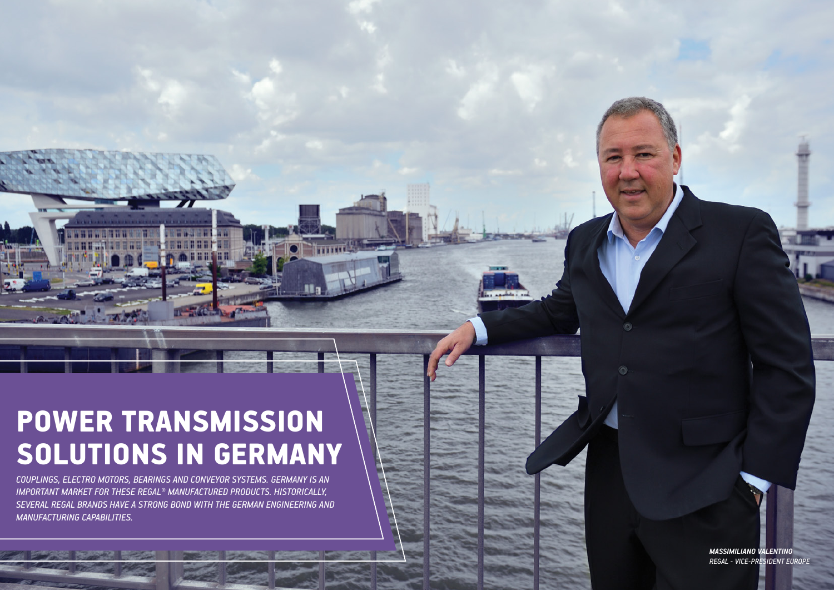Bearing News

# POWER TRANSMISSION SOLUTIONS IN GERMANY

*COUPLINGS, ELECTRO MOTORS, BEARINGS AND CONVEYOR SYSTEMS. GERMANY IS AN IMPORTANT MARKET FOR THESE REGAL® MANUFACTURED PRODUCTS. HISTORICALLY, SEVERAL REGAL BRANDS HAVE A STRONG BOND WITH THE GERMAN ENGINEERING AND MANUFACTURING CAPABILITIES.* 

20 Bearing News 20 Bearing News 20 Bearing News 20 Bearing News 20 Bearing News 20 Bearing News 20 Bearing News 20 Bearing News 20 Bearing News 20 Bearing News 20 Bearing News 20 Bearing News 20 Bearing News 20 Bearing New

*MASSIMILIANO VALENTINO REGAL - VICE-PRESIDENT EUROPE*